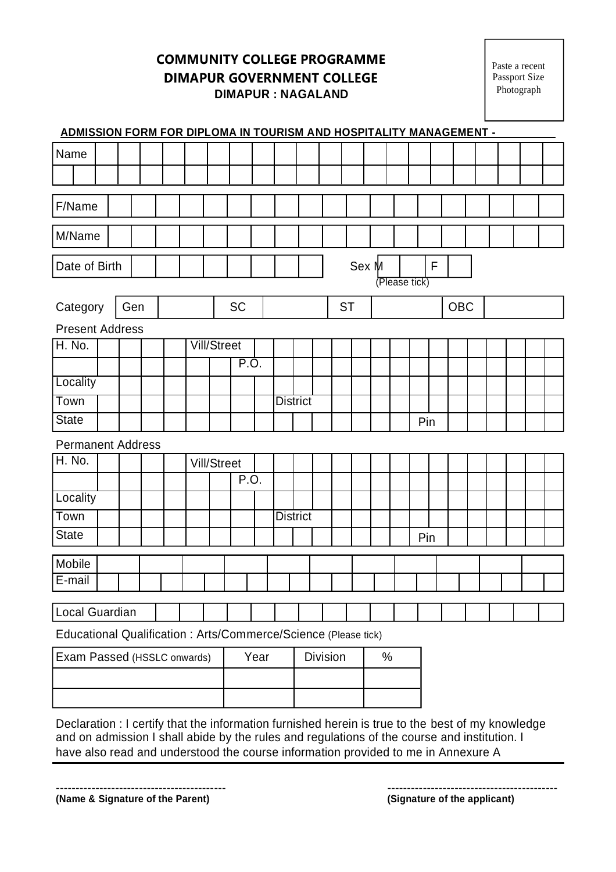**COMMUNITY COLLEGE PROGRAMME DIMAPUR GOVERNMENT COLLEGE DIMAPUR : NAGALAND**

Paste a recent Passport Size Photograph

|                                                                 | ADMISSION FORM FOR DIPLOMA IN TOURISM AND HOSPITALITY MANAGEMENT - |     |  |  |             |                    |      |           |      |  |                 |  |           |       |      |               |   |     |            |  |  |  |  |  |  |
|-----------------------------------------------------------------|--------------------------------------------------------------------|-----|--|--|-------------|--------------------|------|-----------|------|--|-----------------|--|-----------|-------|------|---------------|---|-----|------------|--|--|--|--|--|--|
| Name                                                            |                                                                    |     |  |  |             |                    |      |           |      |  |                 |  |           |       |      |               |   |     |            |  |  |  |  |  |  |
|                                                                 |                                                                    |     |  |  |             |                    |      |           |      |  |                 |  |           |       |      |               |   |     |            |  |  |  |  |  |  |
| F/Name                                                          |                                                                    |     |  |  |             |                    |      |           |      |  |                 |  |           |       |      |               |   |     |            |  |  |  |  |  |  |
|                                                                 |                                                                    |     |  |  |             |                    |      |           |      |  |                 |  |           |       |      |               |   |     |            |  |  |  |  |  |  |
| M/Name                                                          |                                                                    |     |  |  |             |                    |      |           |      |  |                 |  |           |       |      |               |   |     |            |  |  |  |  |  |  |
| Date of Birth                                                   |                                                                    |     |  |  |             |                    |      |           |      |  |                 |  |           | Sex M |      |               | F |     |            |  |  |  |  |  |  |
|                                                                 |                                                                    |     |  |  |             |                    |      |           |      |  |                 |  |           |       |      | (Please tick) |   |     |            |  |  |  |  |  |  |
| Category                                                        |                                                                    | Gen |  |  |             |                    |      | <b>SC</b> |      |  |                 |  | <b>ST</b> |       |      |               |   |     | <b>OBC</b> |  |  |  |  |  |  |
| <b>Present Address</b>                                          |                                                                    |     |  |  |             |                    |      |           |      |  |                 |  |           |       |      |               |   |     |            |  |  |  |  |  |  |
| <b>H. No.</b>                                                   |                                                                    |     |  |  |             | <b>Vill/Street</b> |      |           |      |  |                 |  |           |       |      |               |   |     |            |  |  |  |  |  |  |
|                                                                 |                                                                    |     |  |  |             |                    |      |           | P.O. |  |                 |  |           |       |      |               |   |     |            |  |  |  |  |  |  |
| Locality                                                        |                                                                    |     |  |  |             |                    |      |           |      |  |                 |  |           |       |      |               |   |     |            |  |  |  |  |  |  |
| Town                                                            |                                                                    |     |  |  |             |                    |      |           |      |  | <b>District</b> |  |           |       |      |               |   |     |            |  |  |  |  |  |  |
| <b>State</b>                                                    |                                                                    |     |  |  |             |                    |      |           |      |  |                 |  |           |       |      |               |   | Pin |            |  |  |  |  |  |  |
|                                                                 | <b>Permanent Address</b>                                           |     |  |  |             |                    |      |           |      |  |                 |  |           |       |      |               |   |     |            |  |  |  |  |  |  |
| H. No.                                                          |                                                                    |     |  |  | Vill/Street |                    |      |           |      |  |                 |  |           |       |      |               |   |     |            |  |  |  |  |  |  |
|                                                                 |                                                                    |     |  |  |             |                    |      | P.O.      |      |  |                 |  |           |       |      |               |   |     |            |  |  |  |  |  |  |
| Locality                                                        |                                                                    |     |  |  |             |                    |      |           |      |  |                 |  |           |       |      |               |   |     |            |  |  |  |  |  |  |
| <b>Town</b>                                                     |                                                                    |     |  |  |             |                    |      |           |      |  | <b>District</b> |  |           |       |      |               |   |     |            |  |  |  |  |  |  |
| <b>State</b>                                                    |                                                                    |     |  |  |             |                    |      |           |      |  |                 |  |           |       |      |               |   | Pin |            |  |  |  |  |  |  |
| Mobile                                                          |                                                                    |     |  |  |             |                    |      |           |      |  |                 |  |           |       |      |               |   |     |            |  |  |  |  |  |  |
| E-mail                                                          |                                                                    |     |  |  |             |                    |      |           |      |  |                 |  |           |       |      |               |   |     |            |  |  |  |  |  |  |
| Local Guardian                                                  |                                                                    |     |  |  |             |                    |      |           |      |  |                 |  |           |       |      |               |   |     |            |  |  |  |  |  |  |
| Educational Qualification : Arts/Commerce/Science (Please tick) |                                                                    |     |  |  |             |                    |      |           |      |  |                 |  |           |       |      |               |   |     |            |  |  |  |  |  |  |
| Exam Passed (HSSLC onwards)                                     |                                                                    |     |  |  |             |                    | Year |           |      |  | <b>Division</b> |  |           |       | $\%$ |               |   |     |            |  |  |  |  |  |  |
|                                                                 |                                                                    |     |  |  |             |                    |      |           |      |  |                 |  |           |       |      |               |   |     |            |  |  |  |  |  |  |
|                                                                 |                                                                    |     |  |  |             |                    |      |           |      |  |                 |  |           |       |      |               |   |     |            |  |  |  |  |  |  |
|                                                                 |                                                                    |     |  |  |             |                    |      |           |      |  |                 |  |           |       |      |               |   |     |            |  |  |  |  |  |  |

Declaration : I certify that the information furnished herein is true to the best of my knowledge and on admission I shall abide by the rules and regulations of the course and institution. I have also read and understood the course information provided to me in Annexure A

------------------------------------------- **(Name & Signature of the Parent)**

**(Signature of the applicant)**

-------------------------------------------